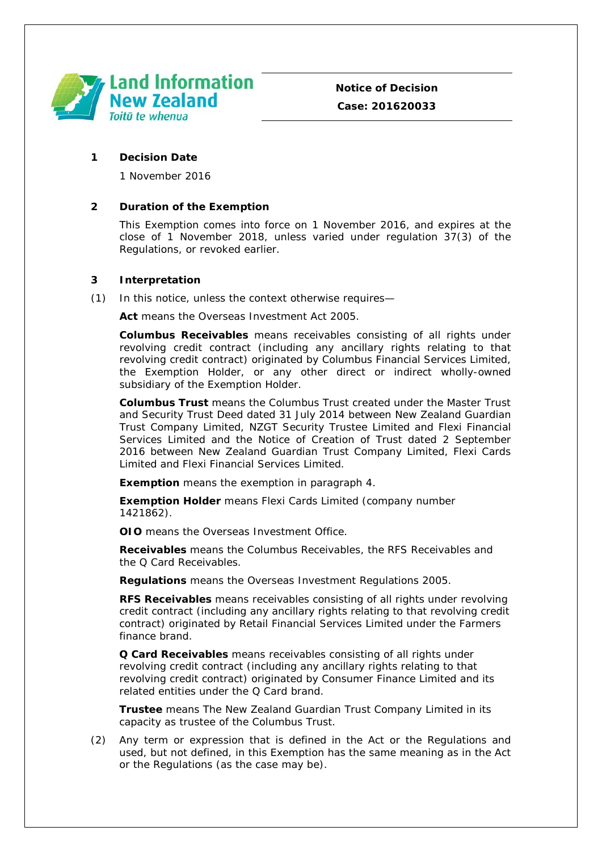

## **1 Decision Date**

1 November 2016

# **2 Duration of the Exemption**

This Exemption comes into force on 1 November 2016, and expires at the close of 1 November 2018, unless varied under regulation 37(3) of the Regulations, or revoked earlier.

# **3 Interpretation**

(1) In this notice, unless the context otherwise requires—

**Act** means the Overseas Investment Act 2005.

**Columbus Receivables** means receivables consisting of all rights under revolving credit contract (including any ancillary rights relating to that revolving credit contract) originated by Columbus Financial Services Limited, the Exemption Holder, or any other direct or indirect wholly-owned subsidiary of the Exemption Holder.

**Columbus Trust** means the Columbus Trust created under the Master Trust and Security Trust Deed dated 31 July 2014 between New Zealand Guardian Trust Company Limited, NZGT Security Trustee Limited and Flexi Financial Services Limited and the Notice of Creation of Trust dated 2 September 2016 between New Zealand Guardian Trust Company Limited, Flexi Cards Limited and Flexi Financial Services Limited.

**Exemption** means the exemption in paragraph 4.

**Exemption Holder** means Flexi Cards Limited (company number 1421862).

**OIO** means the Overseas Investment Office.

**Receivables** means the Columbus Receivables, the RFS Receivables and the Q Card Receivables.

**Regulations** means the Overseas Investment Regulations 2005.

**RFS Receivables** means receivables consisting of all rights under revolving credit contract (including any ancillary rights relating to that revolving credit contract) originated by Retail Financial Services Limited under the Farmers finance brand.

**Q Card Receivables** means receivables consisting of all rights under revolving credit contract (including any ancillary rights relating to that revolving credit contract) originated by Consumer Finance Limited and its related entities under the Q Card brand.

**Trustee** means The New Zealand Guardian Trust Company Limited in its capacity as trustee of the Columbus Trust.

(2) Any term or expression that is defined in the Act or the Regulations and used, but not defined, in this Exemption has the same meaning as in the Act or the Regulations (as the case may be).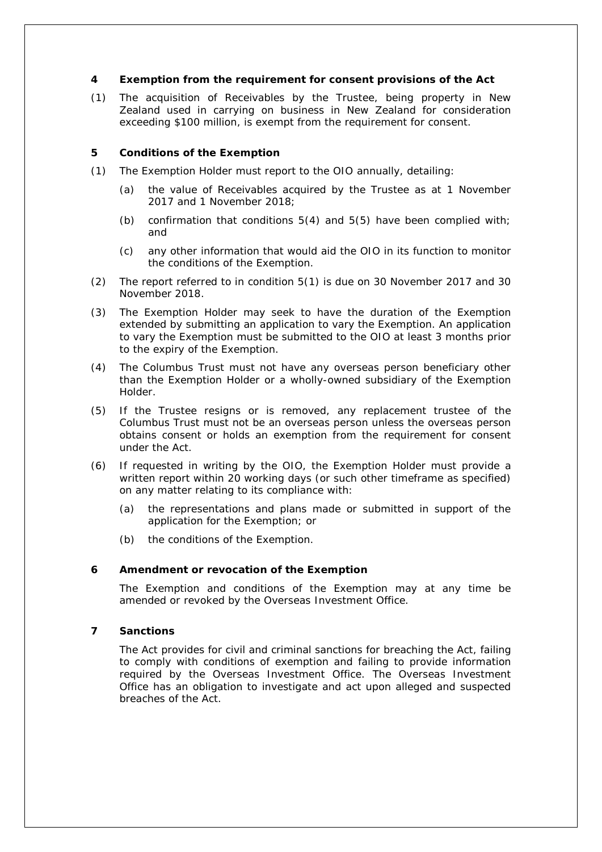### **4 Exemption from the requirement for consent provisions of the Act**

(1) The acquisition of Receivables by the Trustee, being property in New Zealand used in carrying on business in New Zealand for consideration exceeding \$100 million, is exempt from the requirement for consent.

### **5 Conditions of the Exemption**

- (1) The Exemption Holder must report to the OIO annually, detailing:
	- (a) the value of Receivables acquired by the Trustee as at 1 November 2017 and 1 November 2018;
	- (b) confirmation that conditions  $5(4)$  and  $5(5)$  have been complied with; and
	- (c) any other information that would aid the OIO in its function to monitor the conditions of the Exemption.
- (2) The report referred to in condition 5(1) is due on 30 November 2017 and 30 November 2018.
- (3) The Exemption Holder may seek to have the duration of the Exemption extended by submitting an application to vary the Exemption. An application to vary the Exemption must be submitted to the OIO at least 3 months prior to the expiry of the Exemption.
- (4) The Columbus Trust must not have any overseas person beneficiary other than the Exemption Holder or a wholly-owned subsidiary of the Exemption Holder.
- (5) If the Trustee resigns or is removed, any replacement trustee of the Columbus Trust must not be an overseas person unless the overseas person obtains consent or holds an exemption from the requirement for consent under the Act.
- (6) If requested in writing by the OIO, the Exemption Holder must provide a written report within 20 working days (or such other timeframe as specified) on any matter relating to its compliance with:
	- (a) the representations and plans made or submitted in support of the application for the Exemption; or
	- (b) the conditions of the Exemption.

#### **6 Amendment or revocation of the Exemption**

The Exemption and conditions of the Exemption may at any time be amended or revoked by the Overseas Investment Office.

#### **7 Sanctions**

The Act provides for civil and criminal sanctions for breaching the Act, failing to comply with conditions of exemption and failing to provide information required by the Overseas Investment Office. The Overseas Investment Office has an obligation to investigate and act upon alleged and suspected breaches of the Act.